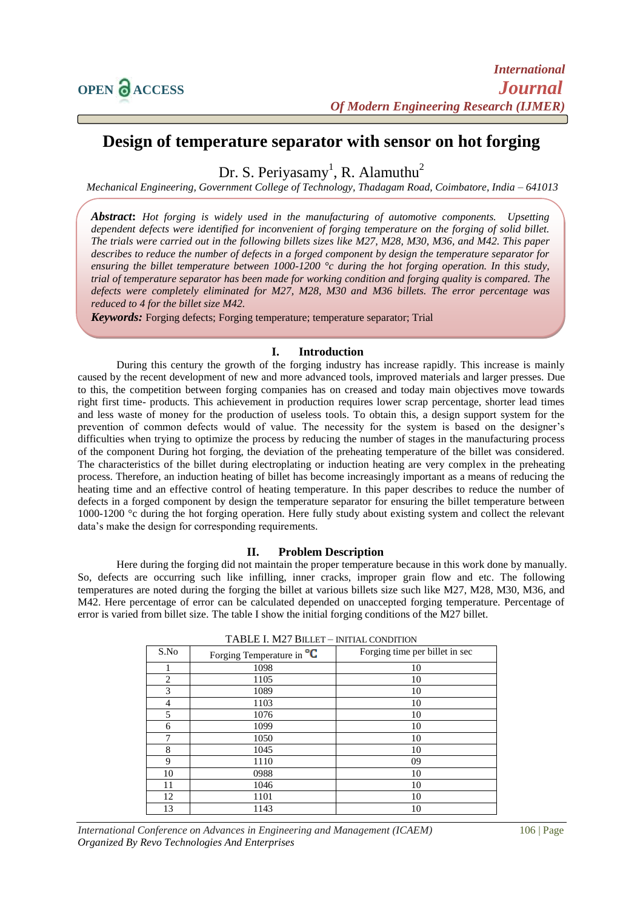# **Design of temperature separator with sensor on hot forging**

Dr. S. Periyasamy<sup>1</sup>, R. Alamuthu<sup>2</sup>

*Mechanical Engineering, Government College of Technology, Thadagam Road, Coimbatore, India – 641013*

*Abstract***:** *Hot forging is widely used in the manufacturing of automotive components. Upsetting dependent defects were identified for inconvenient of forging temperature on the forging of solid billet. The trials were carried out in the following billets sizes like M27, M28, M30, M36, and M42. This paper describes to reduce the number of defects in a forged component by design the temperature separator for ensuring the billet temperature between 1000-1200 °c during the hot forging operation. In this study, trial of temperature separator has been made for working condition and forging quality is compared. The defects were completely eliminated for M27, M28, M30 and M36 billets. The error percentage was reduced to 4 for the billet size M42.*

*Keywords:* Forging defects; Forging temperature; temperature separator; Trial

## **I. Introduction**

During this century the growth of the forging industry has increase rapidly. This increase is mainly caused by the recent development of new and more advanced tools, improved materials and larger presses. Due to this, the competition between forging companies has on creased and today main objectives move towards right first time- products. This achievement in production requires lower scrap percentage, shorter lead times and less waste of money for the production of useless tools. To obtain this, a design support system for the prevention of common defects would of value. The necessity for the system is based on the designer's difficulties when trying to optimize the process by reducing the number of stages in the manufacturing process of the component During hot forging, the deviation of the preheating temperature of the billet was considered. The characteristics of the billet during electroplating or induction heating are very complex in the preheating process. Therefore, an induction heating of billet has become increasingly important as a means of reducing the heating time and an effective control of heating temperature. In this paper describes to reduce the number of defects in a forged component by design the temperature separator for ensuring the billet temperature between 1000-1200 °c during the hot forging operation. Here fully study about existing system and collect the relevant data's make the design for corresponding requirements.

## **II. Problem Description**

Here during the forging did not maintain the proper temperature because in this work done by manually. So, defects are occurring such like infilling, inner cracks, improper grain flow and etc. The following temperatures are noted during the forging the billet at various billets size such like M27, M28, M30, M36, and M42. Here percentage of error can be calculated depended on unaccepted forging temperature. Percentage of error is varied from billet size. The table I show the initial forging conditions of the M27 billet.

| S.No | Forging Temperature in <sup>o</sup> C | Forging time per billet in sec |
|------|---------------------------------------|--------------------------------|
|      | 1098                                  | 10                             |
| 2    | 1105                                  | 10                             |
| 3    | 1089                                  | 10                             |
| 4    | 1103                                  | 10                             |
| 5    | 1076                                  | 10                             |
| 6    | 1099                                  | 10                             |
| 7    | 1050                                  | 10                             |
| 8    | 1045                                  | 10                             |
| 9    | 1110                                  | 09                             |
| 10   | 0988                                  | 10                             |
| 11   | 1046                                  | 10                             |
| 12   | 1101                                  | 10                             |
| 13   | 1143                                  | 10                             |

|  |  |  |  | TABLE I. M27 BILLET – INITIAL CONDITION |
|--|--|--|--|-----------------------------------------|
|--|--|--|--|-----------------------------------------|

*International Conference on Advances in Engineering and Management (ICAEM)* 106 | Page *Organized By Revo Technologies And Enterprises*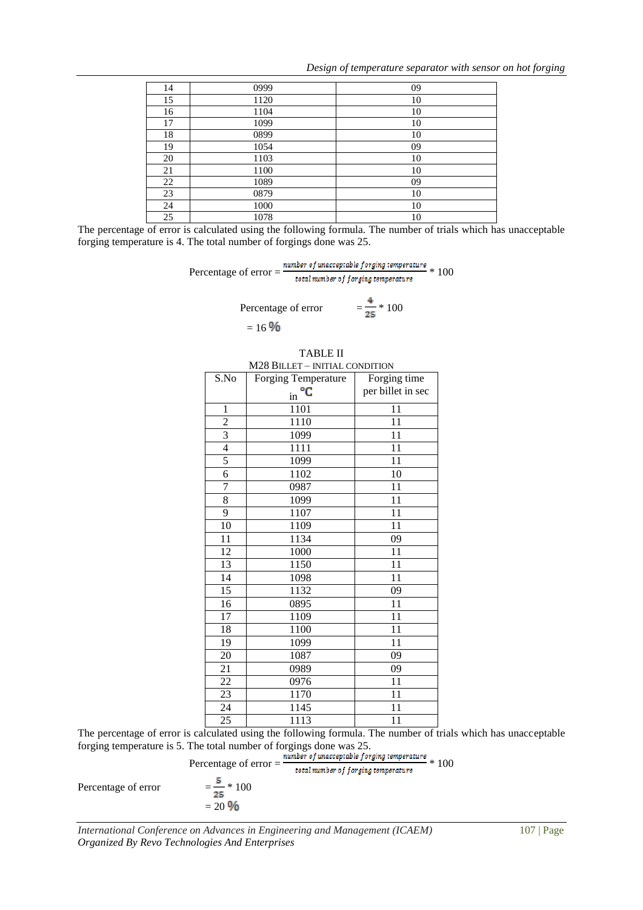*Design of temperature separator with sensor on hot forging*

| 14 | 0999 | 09 |
|----|------|----|
| 15 | 1120 | 10 |
| 16 | 1104 | 10 |
| 17 | 1099 | 10 |
| 18 | 0899 | 10 |
| 19 | 1054 | 09 |
| 20 | 1103 | 10 |
| 21 | 1100 | 10 |
| 22 | 1089 | 09 |
| 23 | 0879 | 10 |
| 24 | 1000 | 10 |
| 25 | 1078 | 10 |

The percentage of error is calculated using the following formula. The number of trials which has unacceptable forging temperature is 4. The total number of forgings done was 25.

Percentage of error  $=$   $\frac{number\ of\ unacceptable\ for\ ging\ temperature}{total\ number\ of\ for\ ging\ temperature} * 100$ 

Percentage of error 
$$
= \frac{4}{25} * 100
$$

$$
= 16\%
$$

| M28 BILLET - INITIAL CONDITION                     |                            |                   |  |
|----------------------------------------------------|----------------------------|-------------------|--|
| S.No                                               | <b>Forging Temperature</b> | Forging time      |  |
|                                                    | $\ln \frac{^{\circ}C}{ }$  | per billet in sec |  |
| 1                                                  | 1101                       | 11                |  |
| $\overline{c}$                                     | 1110                       | 11                |  |
| $\overline{3}$                                     | 1099                       | 11                |  |
| $\overline{4}$                                     | 1111                       | 11                |  |
| 5                                                  | 1099                       | 11                |  |
| 6                                                  | 1102                       | 10                |  |
| $\overline{7}$                                     | 0987                       | 11                |  |
| 8                                                  | 1099                       | 11                |  |
| 9                                                  | 1107                       | 11                |  |
| 10                                                 | 1109                       | 11                |  |
| 11                                                 | 1134                       | 09                |  |
| 12                                                 | 1000                       | 11                |  |
| 13                                                 | 1150                       | 11                |  |
| 14                                                 | 1098                       | 11                |  |
| 15                                                 | 1132                       | 09                |  |
| 16                                                 | 0895                       | 11                |  |
| 17                                                 | 1109                       | 11                |  |
| 18                                                 | 1100                       | 11                |  |
| 19                                                 | 1099                       | 11                |  |
| 20                                                 | 1087                       | 09                |  |
| 21                                                 | 0989                       | 09                |  |
| 22                                                 | 0976                       | 11                |  |
| 23                                                 | 1170                       | 11                |  |
| 24                                                 | 1145                       | 11                |  |
| 25                                                 | 1113                       | 11                |  |
| culated using the following formula. The number of |                            |                   |  |

| TABLE II                       |
|--------------------------------|
| M28 BILLET - INITIAL CONDITION |
|                                |

The percentage of error is calculated using the following formula. The number of trials which has unacceptable forging temperature is 5. The total number of forgings done was 25.

Percentage of error = 
$$
\frac{number \ of \ unacceptable \ for \ ging \ temperature}{total \ number \ of \ for \ ging \ temperature} \times 100
$$

$$
= \frac{5}{25} \times 100
$$

$$
= 20.96
$$

Percentage of error

$$
-\frac{1}{25} = 100
$$

$$
= 20 \frac{9}{6}
$$

*International Conference on Advances in Engineering and Management (ICAEM)* 107 | Page *Organized By Revo Technologies And Enterprises*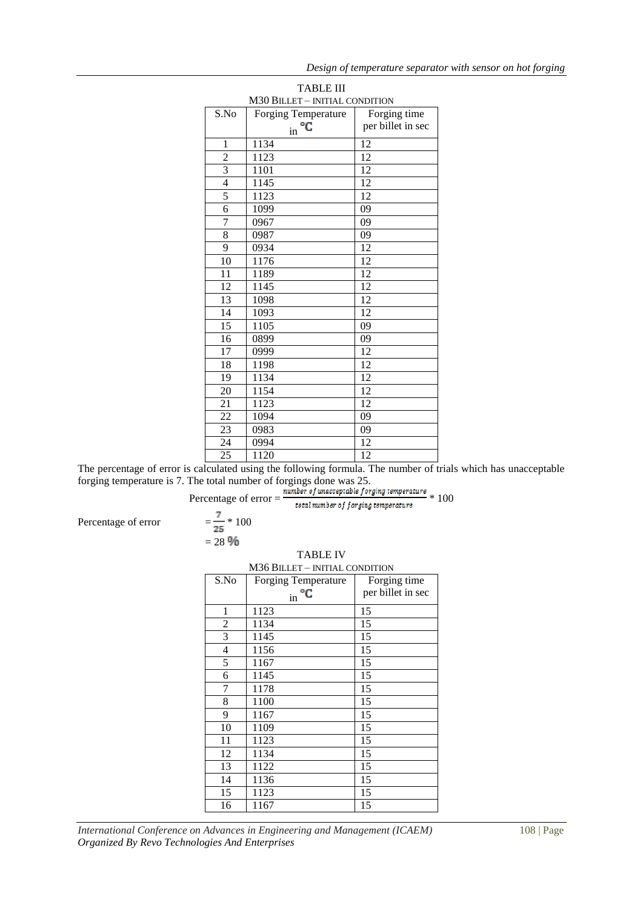| <b>TABLE III</b>               |                     |                   |  |  |
|--------------------------------|---------------------|-------------------|--|--|
| M30 BILLET - INITIAL CONDITION |                     |                   |  |  |
| S.No                           | Forging Temperature | Forging time      |  |  |
|                                | °C<br>in            | per billet in sec |  |  |
| 1                              | 1134                | 12                |  |  |
| $\overline{c}$                 | 1123                | 12                |  |  |
| $\overline{\mathbf{3}}$        | 1101                | 12                |  |  |
| $\overline{4}$                 | 1145                | 12                |  |  |
| 5                              | 1123                | 12                |  |  |
| $\overline{6}$                 | 1099                | 09                |  |  |
| 7                              | 0967                | 09                |  |  |
| $\overline{8}$                 | 0987                | 09                |  |  |
| 9                              | 0934                | 12                |  |  |
| 10                             | 1176                | 12                |  |  |
| 11                             | 1189                | 12                |  |  |
| 12                             | 1145                | 12                |  |  |
| 13                             | 1098                | 12                |  |  |
| $\overline{14}$                | 1093                | 12                |  |  |
| $\overline{15}$                | 1105                | 09                |  |  |
| 16                             | 0899                | 09                |  |  |
| 17                             | 0999                | 12                |  |  |
| $\overline{18}$                | 1198                | $\overline{12}$   |  |  |
| 19                             | 1134                | 12                |  |  |
| $\overline{20}$                | 1154                | $\overline{12}$   |  |  |
| 21                             | 1123                | 12                |  |  |
| $\overline{22}$                | 1094                | 09                |  |  |
| 23                             | 0983                | 09                |  |  |
| 24                             | 0994                | 12                |  |  |
| $\overline{25}$                | 1120                | $\overline{12}$   |  |  |

The percentage of error is calculated using the following formula. The number of trials which has unacceptable forging temperature is 7. The total number of forgings done was 25.

Percentage of error 
$$
=
$$
  $\frac{number of unacceptable, forging temperatures}{total number of forging temperatures} * 100$ 

Percentage of error  $= \frac{7}{25} * 100$ 

 $= 28.96$ 

| INIJO DILLE I – INITIAL CONDITION |                            |                   |  |  |
|-----------------------------------|----------------------------|-------------------|--|--|
| S.No                              | <b>Forging Temperature</b> | Forging time      |  |  |
|                                   | $\sin$ <sup>o</sup> C      | per billet in sec |  |  |
| 1                                 | 1123                       | 15                |  |  |
| 2                                 | 1134                       | 15                |  |  |
| 3                                 | 1145                       | 15                |  |  |
| $\overline{4}$                    | 1156                       | 15                |  |  |
| 5                                 | 1167                       | 15                |  |  |
| 6                                 | 1145                       | 15                |  |  |
| 7                                 | 1178                       | 15                |  |  |
| 8                                 | 1100                       | 15                |  |  |
| 9                                 | 1167                       | 15                |  |  |
| 10                                | 1109                       | 15                |  |  |
| 11                                | 1123                       | 15                |  |  |
| 12                                | 1134                       | 15                |  |  |
| 13                                | 1122                       | 15                |  |  |
| 14                                | 1136                       | 15                |  |  |
| 15                                | 1123                       | 15                |  |  |
| 16                                | 1167                       | 15                |  |  |

## M<sub>26</sub> B<sub>HILLET</sub> – INITIAL CONDITION

*International Conference on Advances in Engineering and Management (ICAEM)* 108 | Page *Organized By Revo Technologies And Enterprises*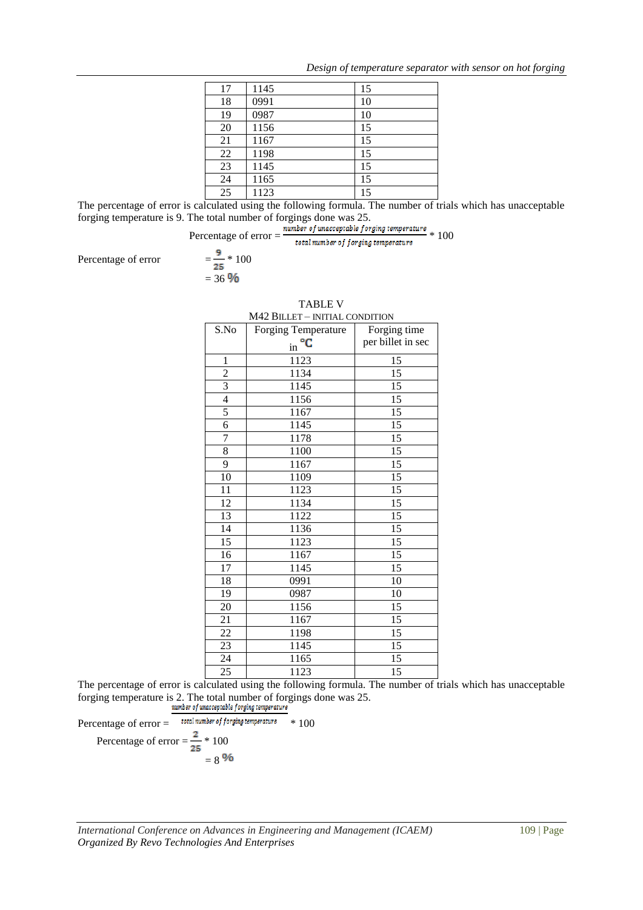| 17 | 1145 | 15 |
|----|------|----|
| 18 | 0991 | 10 |
| 19 | 0987 | 10 |
| 20 | 1156 | 15 |
| 21 | 1167 | 15 |
| 22 | 1198 | 15 |
| 23 | 1145 | 15 |
| 24 | 1165 | 15 |
| 25 | 1123 | 15 |

The percentage of error is calculated using the following formula. The number of trials which has unacceptable forging temperature is 9. The total number of forgings done was 25.

Percentage of error = 
$$
\frac{number \space of unacceptedable forging temperatures}{total number of forging temperatures} * 100
$$

$$
= \frac{9}{25} * 100
$$

Percentage of error

 $= 36 \%$ 

| $M + 2$ DILLET – INITIAL CONDITION |                                         |                   |  |  |
|------------------------------------|-----------------------------------------|-------------------|--|--|
| S.No                               | Forging Temperature                     | Forging time      |  |  |
|                                    | $\overline{\text{in}}^{\circ} \text{C}$ | per billet in sec |  |  |
| $\mathbf{1}$                       | 1123                                    | 15                |  |  |
| $\overline{2}$                     | 1134                                    | 15                |  |  |
| $\overline{\overline{3}}$          | 1145                                    | 15                |  |  |
| $\overline{4}$                     | 1156                                    | 15                |  |  |
| 5                                  | $11\overline{67}$                       | 15                |  |  |
| $\overline{6}$                     | 1145                                    | 15                |  |  |
| 7                                  | 1178                                    | 15                |  |  |
| $\overline{8}$                     | 1100                                    | 15                |  |  |
| 9                                  | 1167                                    | 15                |  |  |
| 10                                 | 1109                                    | 15                |  |  |
| 11                                 | 1123                                    | 15                |  |  |
| 12                                 | 1134                                    | 15                |  |  |
| 13                                 | 1122                                    | 15                |  |  |
| 14                                 | 1136                                    | 15                |  |  |
| 15                                 | 1123                                    | 15                |  |  |
| 16                                 | 1167                                    | 15                |  |  |
| 17                                 | 1145                                    | 15                |  |  |
| 18                                 | 0991                                    | 10                |  |  |
| 19                                 | 0987                                    | 10                |  |  |
| 20                                 | 1156                                    | 15                |  |  |
| 21                                 | 1167                                    | 15                |  |  |
| 22                                 | 1198                                    | 15                |  |  |
| 23                                 | 1145                                    | 15                |  |  |
| 24                                 | 1165                                    | 15                |  |  |
| 25                                 | 1123                                    | 15                |  |  |

TABLE V M42 BILLET – INITIAL CONDITION

The percentage of error is calculated using the following formula. The number of trials which has unacceptable forging temperature is 2. The total number of forgings done was 25.

Percentage of error = 
$$
\frac{1000 \text{ m}}{\text{total number of forging temperature}}
$$
 \* 100  
Percentage of error = 
$$
\frac{2}{25}
$$
 \* 100  
= 8 %6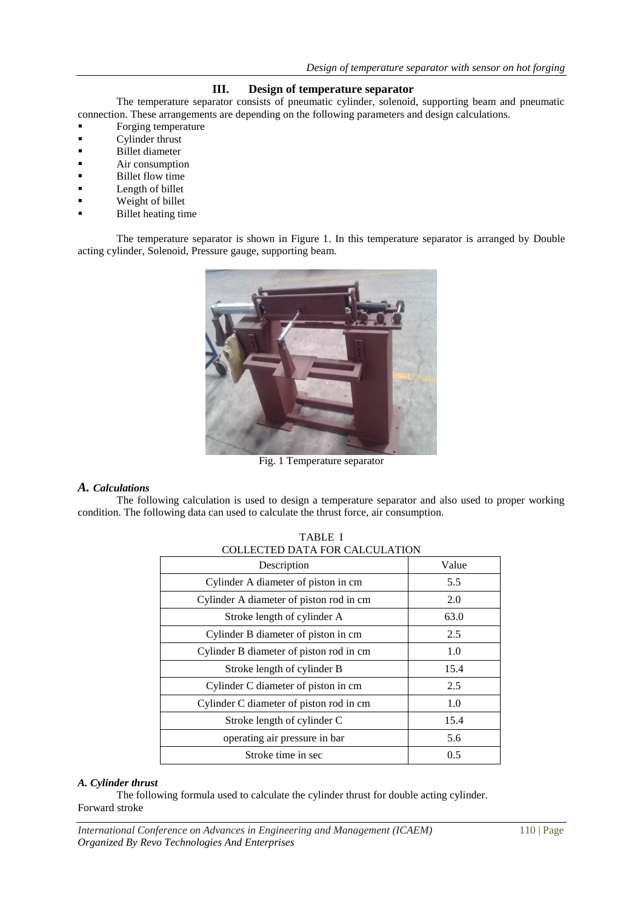## **III. Design of temperature separator**

The temperature separator consists of pneumatic cylinder, solenoid, supporting beam and pneumatic connection. These arrangements are depending on the following parameters and design calculations.

- **Forging temperature**
- **Cylinder thrust**
- **Billet diameter**
- Air consumption
- Billet flow time
- **Length of billet**
- **Weight of billet**
- Billet heating time

The temperature separator is shown in Figure 1. In this temperature separator is arranged by Double acting cylinder, Solenoid, Pressure gauge, supporting beam.



Fig. 1 Temperature separator

## *A. Calculations*

The following calculation is used to design a temperature separator and also used to proper working condition. The following data can used to calculate the thrust force, air consumption.

| Description                             | Value |
|-----------------------------------------|-------|
| Cylinder A diameter of piston in cm     | 5.5   |
| Cylinder A diameter of piston rod in cm | 2.0   |
| Stroke length of cylinder A             | 63.0  |
| Cylinder B diameter of piston in cm     | 2.5   |
| Cylinder B diameter of piston rod in cm | 1.0   |
| Stroke length of cylinder B             | 15.4  |
| Cylinder C diameter of piston in cm     | 2.5   |
| Cylinder C diameter of piston rod in cm | 1.0   |
| Stroke length of cylinder C             | 15.4  |
| operating air pressure in bar           | 5.6   |
| Stroke time in sec                      | 0.5   |

TABLE I  $C$ ULLATION

## *A. Cylinder thrust*

The following formula used to calculate the cylinder thrust for double acting cylinder. Forward stroke

*International Conference on Advances in Engineering and Management (ICAEM)* 110 | Page *Organized By Revo Technologies And Enterprises*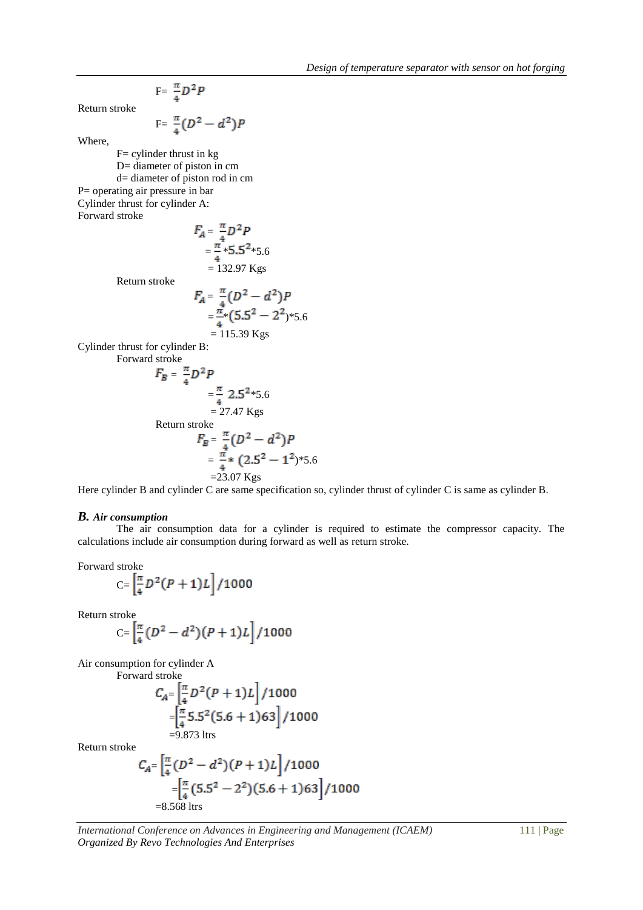$$
F = \frac{\pi}{4} D^2 P
$$

Return stroke

$$
F = \frac{\pi}{4}(D^2 - d^2)P
$$

Where,

 $F=$  cylinder thrust in kg D= diameter of piston in cm d= diameter of piston rod in cm P= operating air pressure in bar Cylinder thrust for cylinder A: Forward stroke  $F_A^-$ 

$$
F_A = \frac{\pi}{4} D^2 P
$$
  
=  $\frac{\pi}{4}$  \*5.5<sup>2</sup> \*5.6  
= 132.97 Kgs

Return stroke

$$
F_A = \frac{\pi}{4} (D^2 - d^2) P
$$
  
=  $\frac{\pi}{4}$ \*(5.5<sup>2</sup> - 2<sup>2</sup>)\*5.6  
= 115.39 Kgs

Cylinder thrust for cylinder B: Forward stroke

$$
F_B = \frac{\pi}{4} D^2 P
$$
  
=  $\frac{\pi}{4}$  2.5<sup>2</sup>\*5.6  
= 27.47 Kgs  
Return stroke  

$$
F_B = \frac{\pi}{4} (D^2 - d^2) P
$$

$$
= \frac{\pi}{4} * (2.5^2 - 1^2)^* 5.6
$$

$$
= 23.07 Kgs
$$

Here cylinder B and cylinder C are same specification so, cylinder thrust of cylinder C is same as cylinder B.

#### *B. Air consumption*

The air consumption data for a cylinder is required to estimate the compressor capacity. The calculations include air consumption during forward as well as return stroke.

Forward stroke

$$
C = \left[\frac{\pi}{4}D^2(P+1)L\right]/1000
$$

Return stroke

$$
C = \left[\frac{\pi}{4}(D^2 - d^2)(P + 1)L\right]/1000
$$

Air consumption for cylinder A Forwa

$$
C_{A} = \left[\frac{\pi}{4}D^2(P+1)L\right] / 1000
$$
  
=  $\left[\frac{\pi}{4}5.5^2(5.6+1)63\right] / 1000$   
= 0.873 km.

=9.873 ltrs

Return stroke

$$
C_{A} = \left[\frac{\pi}{4}(D^2 - d^2)(P + 1)L\right] / 1000
$$
  
=  $\left[\frac{\pi}{4}(5.5^2 - 2^2)(5.6 + 1)63\right] / 1000$   
= 8.568 lts

*International Conference on Advances in Engineering and Management (ICAEM)* 111 | Page *Organized By Revo Technologies And Enterprises*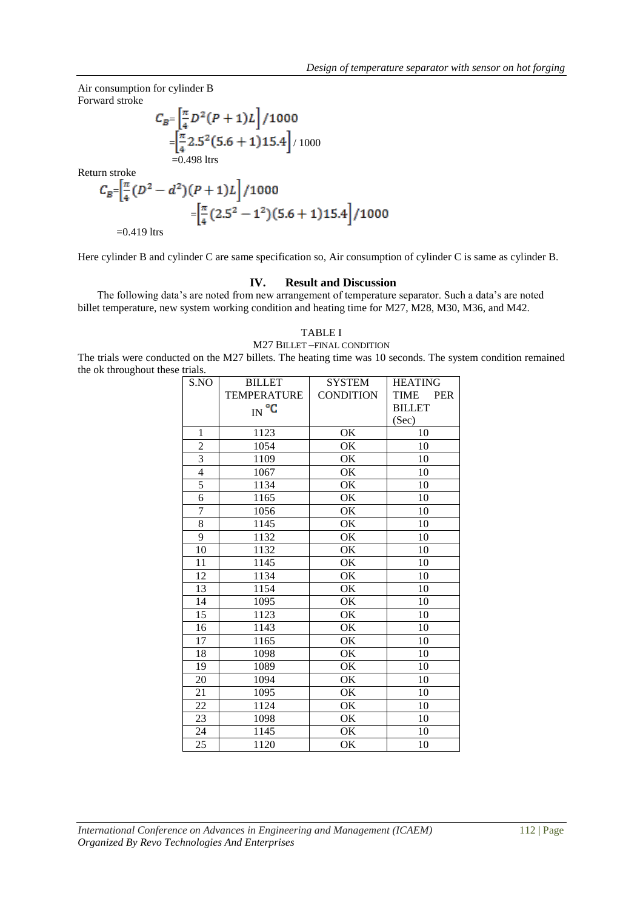Air consumption for cylinder B Forward stroke

$$
C_B = \left[\frac{\pi}{4}D^2(P+1)L\right]/1000
$$
  
=  $\left[\frac{\pi}{4}2.5^2(5.6+1)15.4\right]/1000$   
= 0.498 ltrs

Return stroke

$$
C_B = \left[\frac{\pi}{4}(D^2 - d^2)(P+1)L\right] / 1000
$$
  
=  $\left[\frac{\pi}{4}(2.5^2 - 1^2)(5.6 + 1)15.4\right] / 1000$   
= 0.419 ltrs

Here cylinder B and cylinder C are same specification so, Air consumption of cylinder C is same as cylinder B.

## **IV. Result and Discussion**

The following data's are noted from new arrangement of temperature separator. Such a data's are noted billet temperature, new system working condition and heating time for M27, M28, M30, M36, and M42.

#### TABLE I M27 BILLET –FINAL CONDITION

The trials were conducted on the M27 billets. The heating time was 10 seconds. The system condition remained the ok throughout these trials.

| S.NO            | <b>BILLET</b>      | <b>SYSTEM</b>    | <b>HEATING</b>            |
|-----------------|--------------------|------------------|---------------------------|
|                 | <b>TEMPERATURE</b> | <b>CONDITION</b> | <b>TIME</b><br><b>PER</b> |
|                 | $IN^{\circ}C$      |                  | <b>BILLET</b>             |
|                 |                    |                  | (Sec)                     |
| $\mathbf{1}$    | 1123               | OK               | 10                        |
| $\overline{c}$  | 1054               | OK               | 10                        |
| $\overline{3}$  | 1109               | OK               | 10                        |
| $\overline{4}$  | 1067               | OK               | 10                        |
| 5               | 1134               | OK               | 10                        |
| $\overline{6}$  | 1165               | OK               | 10                        |
| $\overline{7}$  | 1056               | OK               | 10                        |
| $\,8\,$         | 1145               | OK               | 10                        |
| 9               | 1132               | OK               | 10                        |
| 10              | 1132               | OK               | 10                        |
| 11              | 1145               | OK               | 10                        |
| 12              | 1134               | OK               | 10                        |
| 13              | 1154               | OK               | 10                        |
| 14              | 1095               | OK               | 10                        |
| $\overline{15}$ | 1123               | OK               | 10                        |
| 16              | 1143               | OK               | 10                        |
| 17              | 1165               | OK               | 10                        |
| 18              | 1098               | OK               | 10                        |
| 19              | 1089               | OK               | 10                        |
| 20              | 1094               | OK               | 10                        |
| 21              | 1095               | OK               | 10                        |
| 22              | 1124               | OK               | 10                        |
| 23              | 1098               | OK               | 10                        |
| 24              | 1145               | OK               | 10                        |
| $\overline{25}$ | 1120               | OK               | 10                        |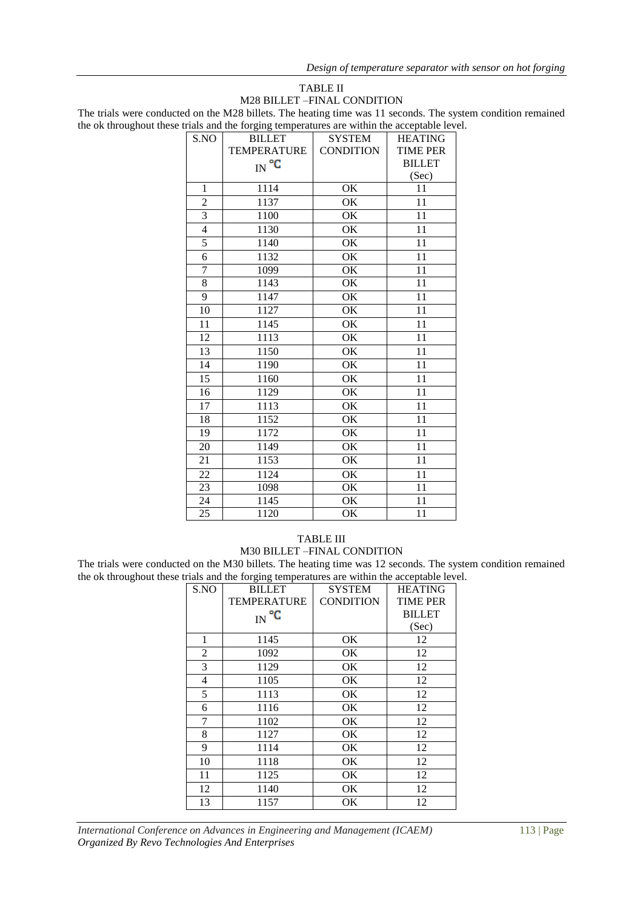#### TABLE II M28 BILLET –FINAL CONDITION

The trials were conducted on the M28 billets. The heating time was 11 seconds. The system condition remained the ok throughout these trials and the forging temperatures are within the acceptable level.

| S.NO           | <b>BILLET</b>      | <b>SYSTEM</b>    | <b>HEATING</b>  |
|----------------|--------------------|------------------|-----------------|
|                | <b>TEMPERATURE</b> | <b>CONDITION</b> | <b>TIME PER</b> |
|                | $IN^{\circ}C$      |                  | <b>BILLET</b>   |
|                |                    |                  | (Sec)           |
| 1              | 1114               | OK               | 11              |
| $\overline{2}$ | 1137               | OK               | 11              |
| $\overline{3}$ | 1100               | OK               | 11              |
| $\overline{4}$ | 1130               | OK               | 11              |
| 5              | 1140               | OK               | 11              |
| 6              | 1132               | OK               | 11              |
| $\overline{7}$ | 1099               | OK               | 11              |
| $\overline{8}$ | 1143               | OK               | 11              |
| 9              | 1147               | <b>OK</b>        | 11              |
| 10             | 1127               | OK               | 11              |
| 11             | 1145               | OK               | 11              |
| 12             | 1113               | OK               | 11              |
| 13             | 1150               | OK               | 11              |
| 14             | 1190               | OK               | 11              |
| 15             | 1160               | OK               | 11              |
| 16             | 1129               | OK               | 11              |
| 17             | 1113               | OK               | 11              |
| 18             | 1152               | OK               | 11              |
| 19             | 1172               | OK               | 11              |
| 20             | 1149               | OK               | 11              |
| 21             | 1153               | OK               | 11              |
| 22             | 1124               | <b>OK</b>        | 11              |
| 23             | 1098               | OK               | 11              |
| 24             | 1145               | OK               | 11              |
| 25             | 1120               | OK               | 11              |

## TABLE III M30 BILLET –FINAL CONDITION

The trials were conducted on the M30 billets. The heating time was 12 seconds. The system condition remained the ok throughout these trials and the forging temperatures are within the acceptable level.

|                | $\circ$<br>$\circ$ |                  |                 |  |  |
|----------------|--------------------|------------------|-----------------|--|--|
| S.NO           | <b>BILLET</b>      | <b>SYSTEM</b>    | <b>HEATING</b>  |  |  |
|                | <b>TEMPERATURE</b> | <b>CONDITION</b> | <b>TIME PER</b> |  |  |
|                | $_{\rm IN}$ °C     |                  | <b>BILLET</b>   |  |  |
|                |                    |                  | (Sec)           |  |  |
| 1              | 1145               | OK               | 12              |  |  |
| $\overline{2}$ | 1092               | OK               | 12              |  |  |
| 3              | 1129               | OK               | 12              |  |  |
| 4              | 1105               | OK               | 12              |  |  |
| 5              | 1113               | ОK               | 12              |  |  |
| 6              | 1116               | OK               | 12              |  |  |
| 7              | 1102               | OK               | 12              |  |  |
| 8              | 1127               | OK               | 12              |  |  |
| 9              | 1114               | OK               | 12              |  |  |
| 10             | 1118               | OK               | 12              |  |  |
| 11             | 1125               | ОK               | 12              |  |  |
| 12             | 1140               | OK               | 12              |  |  |
| 13             | 1157               | OK               | 12              |  |  |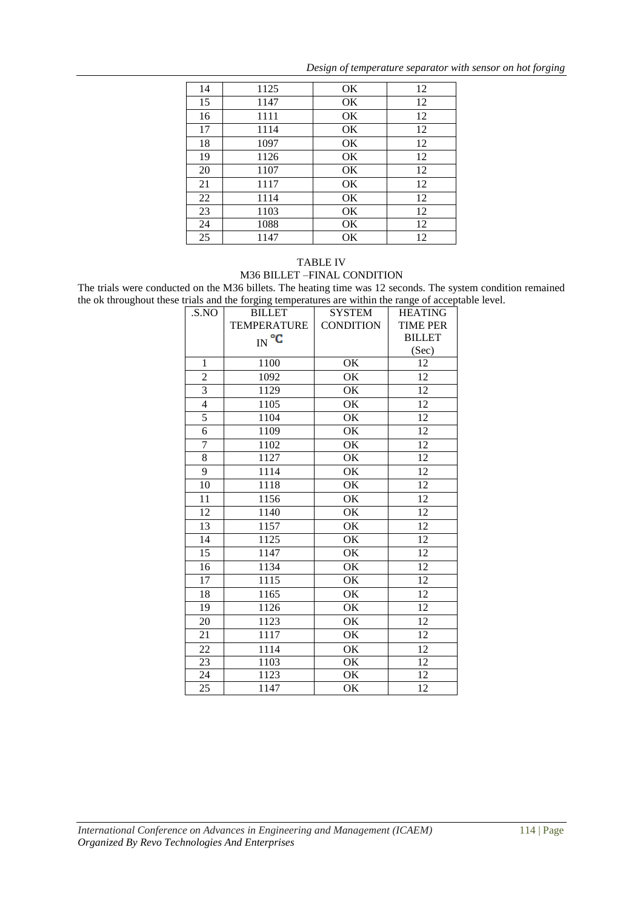| 14 | 1125 | <b>OK</b> | 12 |
|----|------|-----------|----|
| 15 | 1147 | <b>OK</b> | 12 |
| 16 | 1111 | <b>OK</b> | 12 |
| 17 | 1114 | OK        | 12 |
| 18 | 1097 | OK        | 12 |
| 19 | 1126 | OK        | 12 |
| 20 | 1107 | OK        | 12 |
| 21 | 1117 | OK        | 12 |
| 22 | 1114 | OK        | 12 |
| 23 | 1103 | OK        | 12 |
| 24 | 1088 | OK        | 12 |
| 25 | 1147 | OK        | 12 |

*Design of temperature separator with sensor on hot forging*

## TABLE IV M36 BILLET –FINAL CONDITION

The trials were conducted on the M36 billets. The heating time was 12 seconds. The system condition remained the ok throughout these trials and the forging temperatures are within the range of acceptable level.

| .S.NO           | <b>BILLET</b>      | <b>SYSTEM</b>    | <b>HEATING</b>  |
|-----------------|--------------------|------------------|-----------------|
|                 | <b>TEMPERATURE</b> | <b>CONDITION</b> | <b>TIME PER</b> |
|                 | $IN^{\circ}C$      |                  | <b>BILLET</b>   |
|                 |                    |                  | (Sec)           |
| $\mathbf{1}$    | 1100               | OK               | 12              |
| $\overline{c}$  | 1092               | OK               | 12              |
| 3               | 1129               | OK               | 12              |
| $\overline{4}$  | 1105               | OK               | 12              |
| 5               | 1104               | OK               | 12              |
| 6               | 1109               | OK               | 12              |
| 7               | 1102               | OK               | 12              |
| 8               | 1127               | OK               | 12              |
| 9               | 1114               | OK               | 12              |
| 10              | 1118               | OK               | 12              |
| 11              | 1156               | OK               | 12              |
| 12              | 1140               | OK               | 12              |
| 13              | 1157               | OK               | 12              |
| 14              | 1125               | OK               | 12              |
| 15              | 1147               | OK               | 12              |
| 16              | 1134               | OK               | 12              |
| 17              | 1115               | OK               | 12              |
| 18              | 1165               | OK               | 12              |
| 19              | 1126               | OK               | 12              |
| 20              | 1123               | OK               | 12              |
| 21              | 1117               | OK               | 12              |
| 22              | 1114               | OK               | 12              |
| 23              | 1103               | OK               | 12              |
| 24              | 1123               | OK               | 12              |
| $\overline{25}$ | 1147               | OK               | 12              |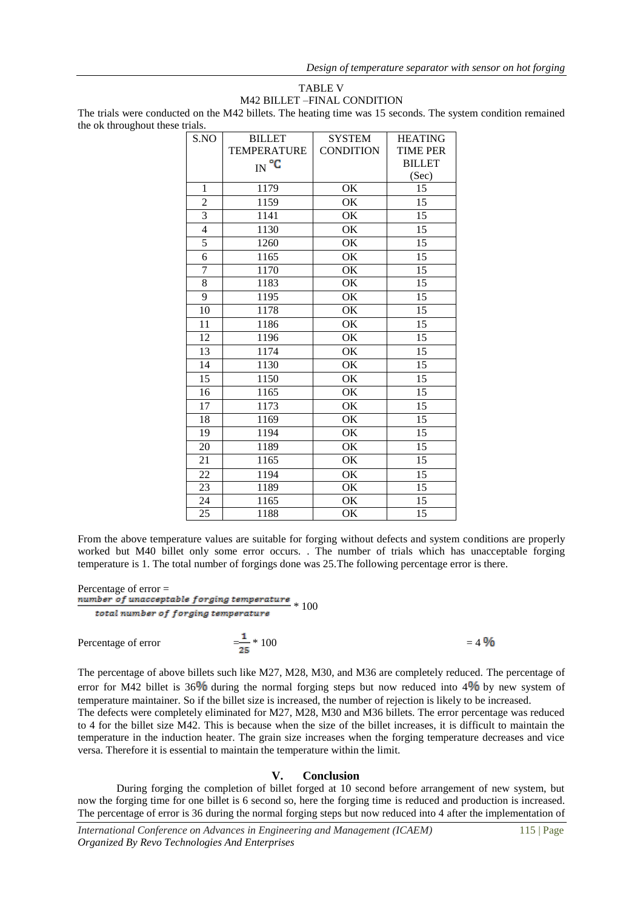## TABLE V M42 BILLET –FINAL CONDITION

The trials were conducted on the M42 billets. The heating time was 15 seconds. The system condition remained the ok throughout these trials.

| S.NO            | <b>BILLET</b>      | <b>SYSTEM</b>                       | <b>HEATING</b>  |
|-----------------|--------------------|-------------------------------------|-----------------|
|                 | <b>TEMPERATURE</b> | <b>CONDITION</b>                    | <b>TIME PER</b> |
|                 | $_{\rm IN}$ °C     |                                     | <b>BILLET</b>   |
|                 |                    |                                     | (Sec)           |
| 1               | 1179               | OK                                  | 15              |
| $\overline{c}$  | 1159               | OK                                  | 15              |
| $\overline{3}$  | 1141               | OK                                  | 15              |
| 4               | 1130               | OK                                  | $\overline{15}$ |
| 5               | 1260               | OK                                  | 15              |
| 6               | 1165               | OK                                  | 15              |
| $\overline{7}$  | 1170               | $\overline{\overline{\mathrm{OK}}}$ | $\overline{15}$ |
| 8               | 1183               | OK                                  | 15              |
| 9               | 1195               | OK                                  | 15              |
| 10              | 1178               | OK                                  | 15              |
| 11              | 1186               | OK                                  | 15              |
| 12              | 1196               | OK                                  | 15              |
| 13              | 1174               | OK                                  | $\overline{15}$ |
| 14              | 1130               | OK                                  | 15              |
| 15              | 1150               | OK                                  | 15              |
| $\overline{16}$ | 1165               | OK                                  | $\overline{15}$ |
| 17              | 1173               | OK                                  | 15              |
| 18              | 1169               | OK                                  | 15              |
| 19              | 1194               | OK                                  | 15              |
| 20              | 1189               | OK                                  | 15              |
| 21              | 1165               | OK                                  | $\overline{15}$ |
| 22              | 1194               | OK                                  | 15              |
| 23              | 1189               | OK                                  | 15              |
| 24              | 1165               | OK                                  | 15              |
| 25              | 1188               | OK                                  | 15              |
|                 |                    |                                     |                 |

From the above temperature values are suitable for forging without defects and system conditions are properly worked but M40 billet only some error occurs. . The number of trials which has unacceptable forging temperature is 1. The total number of forgings done was 25.The following percentage error is there.

## Percentage of error = refluance of the contract of personal temperature  $\frac{100}{2}$  + 100 total number of forging temperature Percentage of error  $= \frac{1}{25} * 100$   $= 4\%$

The percentage of above billets such like M27, M28, M30, and M36 are completely reduced. The percentage of error for M42 billet is  $36\%$  during the normal forging steps but now reduced into  $4\%$  by new system of temperature maintainer. So if the billet size is increased, the number of rejection is likely to be increased.

The defects were completely eliminated for M27, M28, M30 and M36 billets. The error percentage was reduced to 4 for the billet size M42. This is because when the size of the billet increases, it is difficult to maintain the temperature in the induction heater. The grain size increases when the forging temperature decreases and vice versa. Therefore it is essential to maintain the temperature within the limit.

## **V. Conclusion**

During forging the completion of billet forged at 10 second before arrangement of new system, but now the forging time for one billet is 6 second so, here the forging time is reduced and production is increased. The percentage of error is 36 during the normal forging steps but now reduced into 4 after the implementation of

*International Conference on Advances in Engineering and Management (ICAEM)* 115 | Page *Organized By Revo Technologies And Enterprises*